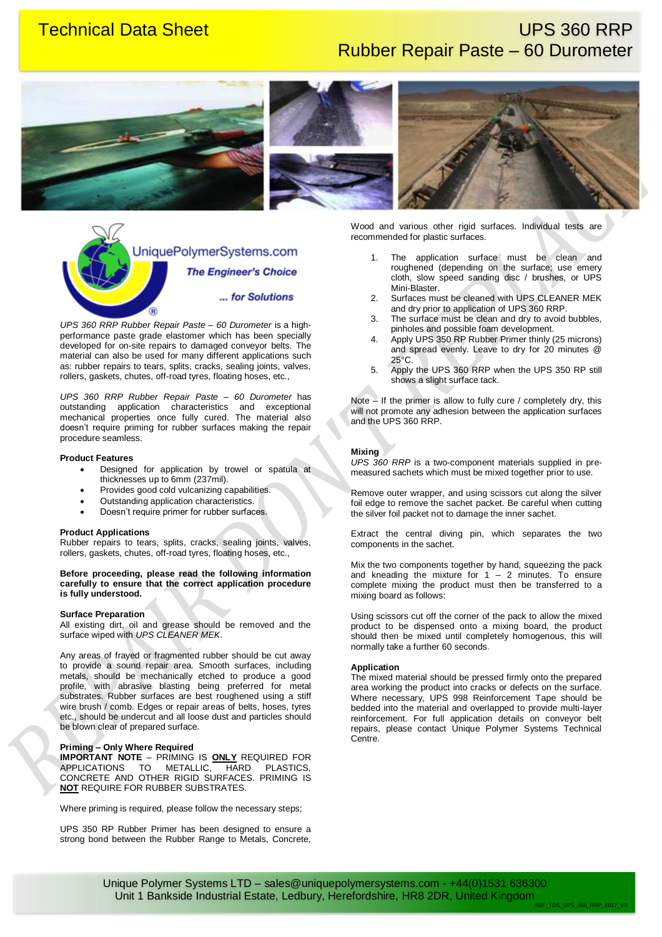# **Technical Data Sheet Contract Contract Contract Contract Contract Contract Contract Contract Contract Contract Contract Contract Contract Contract Contract Contract Contract Contract Contract Contract Contract Contract Co** Rubber Repair Paste – 60 Durometer







UniquePolymerSystems.com **The Engineer's Choice** ... for Solutions (R)

*UPS 360 RRP Rubber Repair Paste – 60 Durometer* is a highperformance paste grade elastomer which has been specially developed for on-site repairs to damaged conveyor belts. The material can also be used for many different applications such as: rubber repairs to tears, splits, cracks, sealing joints, valves, rollers, gaskets, chutes, off-road tyres, floating hoses, etc.,

*UPS 360 RRP Rubber Repair Paste – 60 Durometer* has outstanding application characteristics and exceptional mechanical properties once fully cured. The material also doesn't require priming for rubber surfaces making the repair procedure seamless.

#### **Product Features**

- Designed for application by trowel or spatula at thicknesses up to 6mm (237mil).
- Provides good cold vulcanizing capabilities.
- Outstanding application characteristics.
- Doesn't require primer for rubber surfaces.

#### **Product Applications**

Rubber repairs to tears, splits, cracks, sealing joints, valves, rollers, gaskets, chutes, off-road tyres, floating hoses, etc.,

#### **Before proceeding, please read the following information carefully to ensure that the correct application procedure is fully understood.**

#### **Surface Preparation**

All existing dirt, oil and grease should be removed and the surface wiped with *UPS CLEANER MEK*.

Any areas of frayed or fragmented rubber should be cut away to provide a sound repair area. Smooth surfaces, including metals, should be mechanically etched to produce a good profile, with abrasive blasting being preferred for metal substrates. Rubber surfaces are best roughened using a stiff wire brush / comb. Edges or repair areas of belts, hoses, tyres etc., should be undercut and all loose dust and particles should be blown clear of prepared surface.

#### **Priming – Only Where Required**

**IMPORTANT NOTE** – PRIMING IS **ONLY** REQUIRED FOR APPLICATIONS TO METALLIC, HARD PLASTICS, CONCRETE AND OTHER RIGID SURFACES. PRIMING IS **NOT** REQUIRE FOR RUBBER SUBSTRATES.

Where priming is required, please follow the necessary steps;

UPS 350 RP Rubber Primer has been designed to ensure a strong bond between the Rubber Range to Metals, Concrete, Wood and various other rigid surfaces. Individual tests are recommended for plastic surfaces.

- 1. The application surface must be clean and roughened (depending on the surface; use emery cloth, slow speed sanding disc / brushes, or UPS Mini-Blaster.
- 2. Surfaces must be cleaned with UPS CLEANER MEK and dry prior to application of UPS 360 RRP.
- 3. The surface must be clean and dry to avoid bubbles, pinholes and possible foam development.
- 4. Apply UPS 350 RP Rubber Primer thinly (25 microns) and spread evenly. Leave to dry for 20 minutes @ 25°C.
- 5. Apply the UPS 360 RRP when the UPS 350 RP still shows a slight surface tack.

Note – If the primer is allow to fully cure / completely dry, this will not promote any adhesion between the application surfaces and the UPS 360 RRP.

#### **Mixing**

*UPS 360 RRP* is a two-component materials supplied in premeasured sachets which must be mixed together prior to use.

Remove outer wrapper, and using scissors cut along the silver foil edge to remove the sachet packet. Be careful when cutting the silver foil packet not to damage the inner sachet.

Extract the central diving pin, which separates the two components in the sachet.

Mix the two components together by hand, squeezing the pack and kneading the mixture for  $1 - 2$  minutes. To ensure complete mixing the product must then be transferred to a mixing board as follows:

Using scissors cut off the corner of the pack to allow the mixed product to be dispensed onto a mixing board, the product should then be mixed until completely homogenous, this will normally take a further 60 seconds.

#### **Application**

The mixed material should be pressed firmly onto the prepared area working the product into cracks or defects on the surface. Where necessary, UPS 998 Reinforcement Tape should be bedded into the material and overlapped to provide multi-layer reinforcement. For full application details on conveyor belt repairs, please contact Unique Polymer Systems Technical Centre.